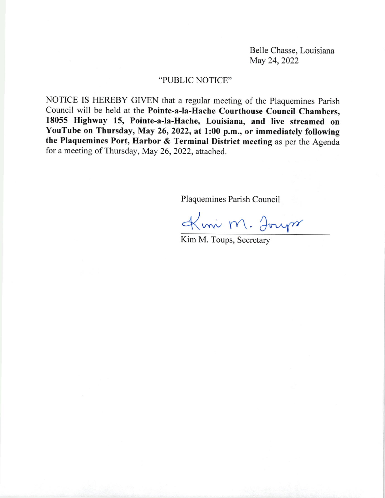Belle Chasse, Louisiana May 24, 2022

## \*PUBLIC NorICE.

NOTICE IS HEREBY GIVEN that a regular meeting of the Plaquemines parish Council will be held at the Pointe-a-la-Hache Courthouse Council Chambers, 18055 Highway 15, Pointe-a-la-Hache, Louisiana, and live streamed on YouTube on Thursday, May 26, 2022, at 1:00 p.m., or immediately following the Plaquemines Port, Harbor & Terminal District meeting as per the Agenda for a meeting of Thursday, May 26, 2022, attached,.

Plaquemines Parish Council

Kmi M. Jours

Kim M. Toups, Secretary